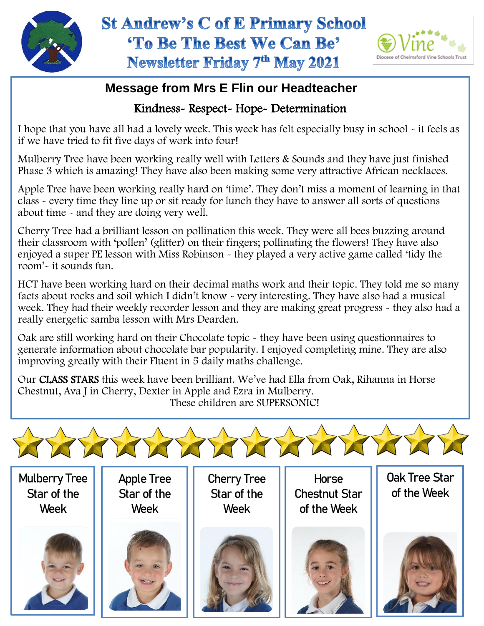



## **Message from Mrs E Flin our Headteacher**

## Kindness- Respect- Hope- Determination

I hope that you have all had a lovely week. This week has felt especially busy in school - it feels as if we have tried to fit five days of work into four!

Mulberry Tree have been working really well with Letters & Sounds and they have just finished Phase 3 which is amazing! They have also been making some very attractive African necklaces.

Apple Tree have been working really hard on 'time'. They don't miss a moment of learning in that class - every time they line up or sit ready for lunch they have to answer all sorts of questions about time - and they are doing very well.

Cherry Tree had a brilliant lesson on pollination this week. They were all bees buzzing around their classroom with 'pollen' (glitter) on their fingers; pollinating the flowers! They have also enjoyed a super PE lesson with Miss Robinson - they played a very active game called 'tidy the room'- it sounds fun.

 facts about rocks and soil which I didn't know - very interesting. They have also had a musical HCT have been working hard on their decimal maths work and their topic. They told me so many week. They had their weekly recorder lesson and they are making great progress - they also had a really energetic samba lesson with Mrs Dearden.

Oak are still working hard on their Chocolate topic - they have been using questionnaires to generate information about chocolate bar popularity. I enjoyed completing mine. They are also improving greatly with their Fluent in 5 daily maths challenge.

Our CLASS STARS this week have been brilliant. We've had Ella from Oak, Rihanna in Horse Chestnut, Ava J in Cherry, Dexter in Apple and Ezra in Mulberry. These children are SUPERSONIC!